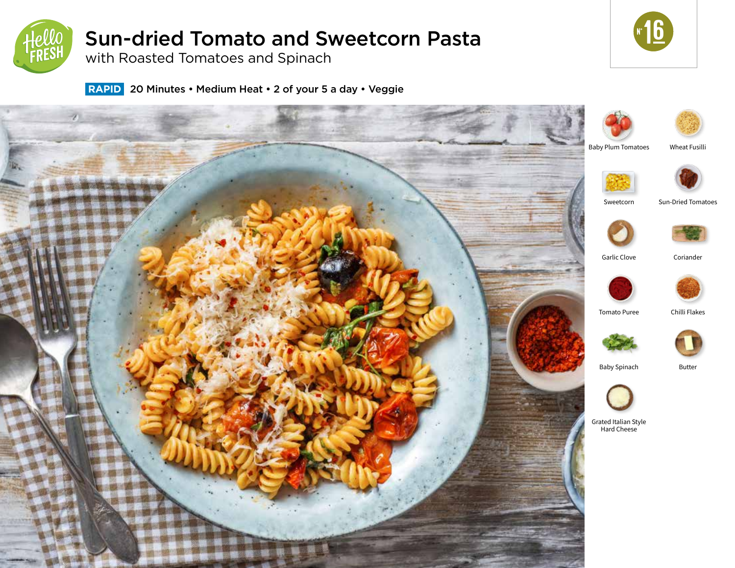

# Sun-dried Tomato and Sweetcorn Pasta

**r** 16

with Roasted Tomatoes and Spinach

 **RAPID** 20 Minutes • Medium Heat • 2 of your 5 a day • Veggie